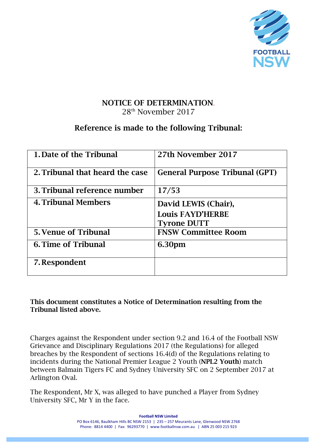

## NOTICE OF DETERMINATION. 28th November 2017

# Reference is made to the following Tribunal:

| 1. Date of the Tribunal         | 27th November 2017                                                    |
|---------------------------------|-----------------------------------------------------------------------|
| 2. Tribunal that heard the case | <b>General Purpose Tribunal (GPT)</b>                                 |
| 3. Tribunal reference number    | 17/53                                                                 |
| 4. Tribunal Members             | David LEWIS (Chair),<br><b>Louis FAYD'HERBE</b><br><b>Tyrone DUTT</b> |
| <b>5. Venue of Tribunal</b>     | <b>FNSW Committee Room</b>                                            |
| <b>6. Time of Tribunal</b>      | 6.30pm                                                                |
| 7. Respondent                   |                                                                       |

This document constitutes a Notice of Determination resulting from the Tribunal listed above.

Charges against the Respondent under section 9.2 and 16.4 of the Football NSW Grievance and Disciplinary Regulations 2017 (the Regulations) for alleged breaches by the Respondent of sections 16.4(d) of the Regulations relating to incidents during the National Premier League 2 Youth (NPL2 Youth) match between Balmain Tigers FC and Sydney University SFC on 2 September 2017 at Arlington Oval.

The Respondent, Mr X, was alleged to have punched a Player from Sydney University SFC, Mr Y in the face.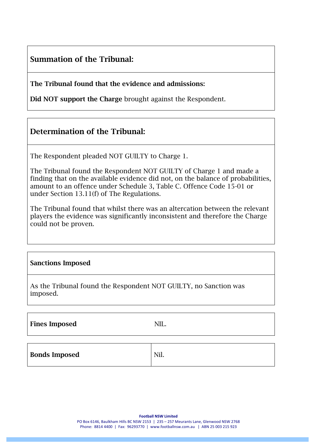# Summation of the Tribunal:

The Tribunal found that the evidence and admissions:

Did NOT support the Charge brought against the Respondent.

## Determination of the Tribunal:

The Respondent pleaded NOT GUILTY to Charge 1.

The Tribunal found the Respondent NOT GUILTY of Charge 1 and made a finding that on the available evidence did not, on the balance of probabilities, amount to an offence under Schedule 3, Table C. Offence Code 15-01 or under Section 13.11(f) of The Regulations.

The Tribunal found that whilst there was an altercation between the relevant players the evidence was significantly inconsistent and therefore the Charge could not be proven.

#### Sanctions Imposed

As the Tribunal found the Respondent NOT GUILTY, no Sanction was imposed.

Fines Imposed NIL.

| <b>Bonds Imposed</b> | Nil. |
|----------------------|------|
|----------------------|------|